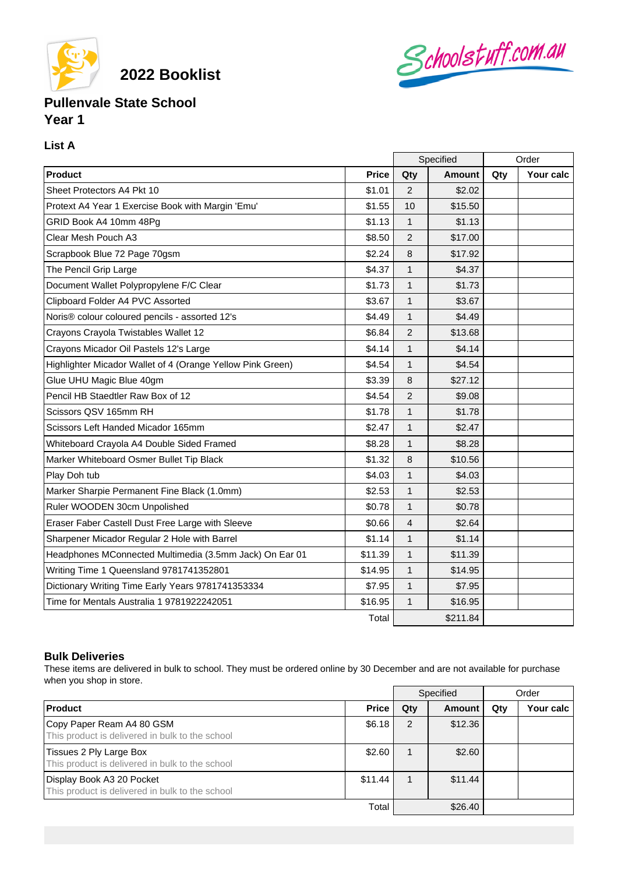

**2022 Booklist**

## Schoolstuff.com.au

## **Pullenvale State School Year 1**

## **List A**

|                                                            |              | Specified      |               | Order |           |
|------------------------------------------------------------|--------------|----------------|---------------|-------|-----------|
| Product                                                    | <b>Price</b> | Qty            | <b>Amount</b> | Qty   | Your calc |
| Sheet Protectors A4 Pkt 10                                 | \$1.01       | 2              | \$2.02        |       |           |
| Protext A4 Year 1 Exercise Book with Margin 'Emu'          | \$1.55       | 10             | \$15.50       |       |           |
| GRID Book A4 10mm 48Pg                                     | \$1.13       | $\mathbf{1}$   | \$1.13        |       |           |
| Clear Mesh Pouch A3                                        | \$8.50       | $\overline{2}$ | \$17.00       |       |           |
| Scrapbook Blue 72 Page 70gsm                               | \$2.24       | 8              | \$17.92       |       |           |
| The Pencil Grip Large                                      | \$4.37       | $\mathbf{1}$   | \$4.37        |       |           |
| Document Wallet Polypropylene F/C Clear                    | \$1.73       | $\mathbf{1}$   | \$1.73        |       |           |
| Clipboard Folder A4 PVC Assorted                           | \$3.67       | $\mathbf{1}$   | \$3.67        |       |           |
| Noris® colour coloured pencils - assorted 12's             | \$4.49       | $\mathbf{1}$   | \$4.49        |       |           |
| Crayons Crayola Twistables Wallet 12                       | \$6.84       | 2              | \$13.68       |       |           |
| Crayons Micador Oil Pastels 12's Large                     | \$4.14       | $\mathbf{1}$   | \$4.14        |       |           |
| Highlighter Micador Wallet of 4 (Orange Yellow Pink Green) | \$4.54       | $\mathbf{1}$   | \$4.54        |       |           |
| Glue UHU Magic Blue 40gm                                   | \$3.39       | 8              | \$27.12       |       |           |
| Pencil HB Staedtler Raw Box of 12                          | \$4.54       | $\overline{2}$ | \$9.08        |       |           |
| Scissors QSV 165mm RH                                      | \$1.78       | $\mathbf{1}$   | \$1.78        |       |           |
| Scissors Left Handed Micador 165mm                         | \$2.47       | $\mathbf{1}$   | \$2.47        |       |           |
| Whiteboard Crayola A4 Double Sided Framed                  | \$8.28       | 1              | \$8.28        |       |           |
| Marker Whiteboard Osmer Bullet Tip Black                   | \$1.32       | 8              | \$10.56       |       |           |
| Play Doh tub                                               | \$4.03       | 1              | \$4.03        |       |           |
| Marker Sharpie Permanent Fine Black (1.0mm)                | \$2.53       | $\mathbf{1}$   | \$2.53        |       |           |
| Ruler WOODEN 30cm Unpolished                               | \$0.78       | $\mathbf{1}$   | \$0.78        |       |           |
| Eraser Faber Castell Dust Free Large with Sleeve           | \$0.66       | $\overline{4}$ | \$2.64        |       |           |
| Sharpener Micador Regular 2 Hole with Barrel               | \$1.14       | 1              | \$1.14        |       |           |
| Headphones MConnected Multimedia (3.5mm Jack) On Ear 01    | \$11.39      | $\mathbf{1}$   | \$11.39       |       |           |
| Writing Time 1 Queensland 9781741352801                    | \$14.95      | $\mathbf{1}$   | \$14.95       |       |           |
| Dictionary Writing Time Early Years 9781741353334          | \$7.95       | $\mathbf{1}$   | \$7.95        |       |           |
| Time for Mentals Australia 1 9781922242051                 | \$16.95      | $\mathbf{1}$   | \$16.95       |       |           |
|                                                            | Total        |                | \$211.84      |       |           |

## **Bulk Deliveries**

These items are delivered in bulk to school. They must be ordered online by 30 December and are not available for purchase when you shop in store.

|                                                                              |              | Specified |         | Order |           |
|------------------------------------------------------------------------------|--------------|-----------|---------|-------|-----------|
| <b>Product</b>                                                               | <b>Price</b> | Qty       | Amount  | Qty   | Your calc |
| Copy Paper Ream A4 80 GSM<br>This product is delivered in bulk to the school | \$6.18       | 2         | \$12.36 |       |           |
| Tissues 2 Ply Large Box<br>This product is delivered in bulk to the school   | \$2.60       |           | \$2.60  |       |           |
| Display Book A3 20 Pocket<br>This product is delivered in bulk to the school | \$11.44      |           | \$11.44 |       |           |
|                                                                              | Total        |           | \$26.40 |       |           |